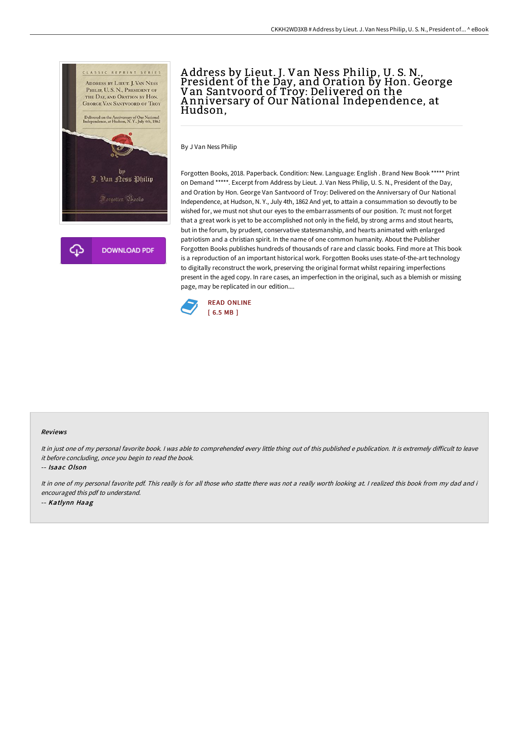

## A ddress by Lieut. J. Van Ness Philip, U. S. N., President of the Day, and Oration by Hon. George Van Santvoord of Troy: Delivered on the A nniversary of Our National Independence, at Hudson,

By J Van Ness Philip

Forgotten Books, 2018. Paperback. Condition: New. Language: English . Brand New Book \*\*\*\*\* Print on Demand \*\*\*\*\*. Excerpt from Address by Lieut. J. Van Ness Philip, U. S. N., President of the Day, and Oration by Hon. George Van Santvoord of Troy: Delivered on the Anniversary of Our National Independence, at Hudson, N. Y., July 4th, 1862 And yet, to attain a consummation so devoutly to be wished for, we must not shut our eyes to the embarrassments of our position. 7c must not forget that a great work is yet to be accomplished not only in the field, by strong arms and stout hearts, but in the forum, by prudent, conservative statesmanship, and hearts animated with enlarged patriotism and a christian spirit. In the name of one common humanity. About the Publisher Forgotten Books publishes hundreds of thousands of rare and classic books. Find more at This book is a reproduction of an important historical work. Forgotten Books uses state-of-the-art technology to digitally reconstruct the work, preserving the original format whilst repairing imperfections present in the aged copy. In rare cases, an imperfection in the original, such as a blemish or missing page, may be replicated in our edition....



## Reviews

It in just one of my personal favorite book. I was able to comprehended every little thing out of this published e publication. It is extremely difficult to leave it before concluding, once you begin to read the book.

-- Isaac Olson

It in one of my personal favorite pdf. This really is for all those who statte there was not <sup>a</sup> really worth looking at. <sup>I</sup> realized this book from my dad and i encouraged this pdf to understand. -- Katlynn Haag